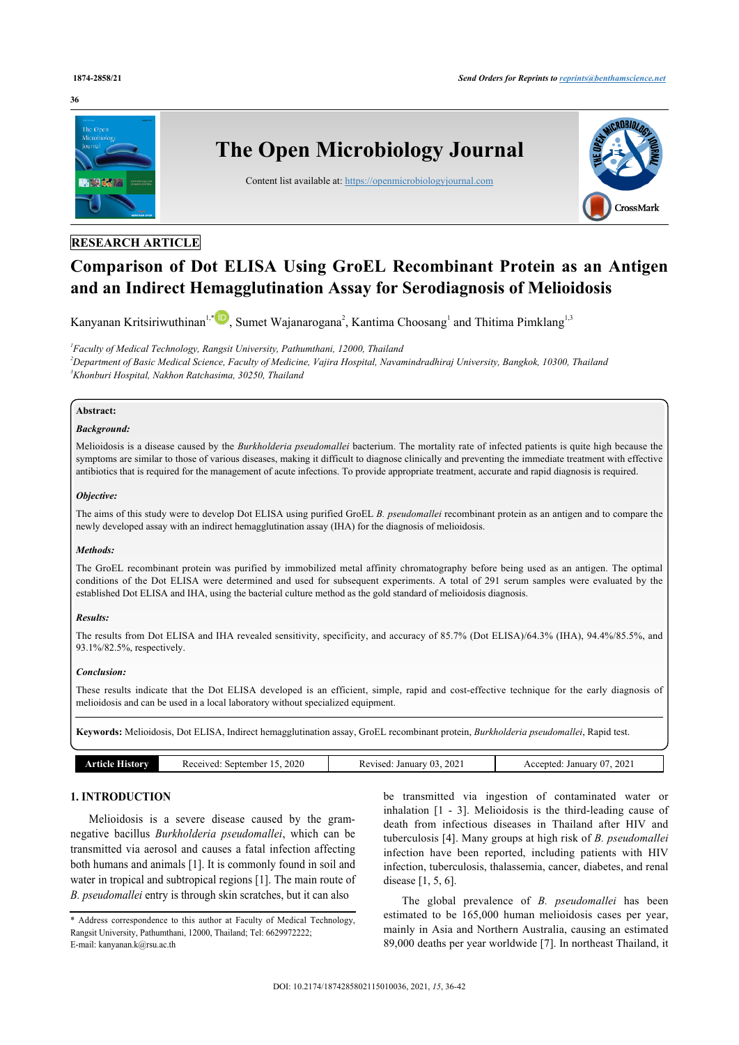#### **36**



# **RESEARCH ARTICLE**

# **Comparison of Dot ELISA Using GroEL Recombinant Protein as an Antigen and an Indirect Hemagglutination Assay for Serodiagnosis of Melioidosis**

Kanyanan Kritsiriwuthinan<sup>[1,](#page-0-0)[\\*](#page-0-1)</sup> D[,](http://orcid.org/0000-0002-7553-829X) Sumet Wajanarogana<sup>[2](#page-0-2)</sup>, Kantima Choosang<sup>[1](#page-0-0)</sup> and Thitima Pimklang<sup>1,[3](#page-0-3)</sup>

<span id="page-0-3"></span><span id="page-0-2"></span><span id="page-0-0"></span>*1 Faculty of Medical Technology, Rangsit University, Pathumthani, 12000, Thailand <sup>2</sup>Department of Basic Medical Science, Faculty of Medicine, Vajira Hospital, Navamindradhiraj University, Bangkok, 10300, Thailand <sup>3</sup>Khonburi Hospital, Nakhon Ratchasima, 30250, Thailand*

#### **Abstract:**

#### *Background:*

Melioidosis is a disease caused by the *Burkholderia pseudomallei* bacterium. The mortality rate of infected patients is quite high because the symptoms are similar to those of various diseases, making it difficult to diagnose clinically and preventing the immediate treatment with effective antibiotics that is required for the management of acute infections. To provide appropriate treatment, accurate and rapid diagnosis is required.

#### *Objective:*

The aims of this study were to develop Dot ELISA using purified GroEL *B. pseudomallei* recombinant protein as an antigen and to compare the newly developed assay with an indirect hemagglutination assay (IHA) for the diagnosis of melioidosis.

#### *Methods:*

The GroEL recombinant protein was purified by immobilized metal affinity chromatography before being used as an antigen. The optimal conditions of the Dot ELISA were determined and used for subsequent experiments. A total of 291 serum samples were evaluated by the established Dot ELISA and IHA, using the bacterial culture method as the gold standard of melioidosis diagnosis.

#### *Results:*

The results from Dot ELISA and IHA revealed sensitivity, specificity, and accuracy of 85.7% (Dot ELISA)/64.3% (IHA), 94.4%/85.5%, and 93.1%/82.5%, respectively.

#### *Conclusion:*

These results indicate that the Dot ELISA developed is an efficient, simple, rapid and cost-effective technique for the early diagnosis of melioidosis and can be used in a local laboratory without specialized equipment.

**Keywords:** Melioidosis, Dot ELISA, Indirect hemagglutination assay, GroEL recombinant protein, *Burkholderia pseudomallei*, Rapid test.

| listorv<br>rticie i | 2020<br>September<br>Received: | 2021<br>January 03<br>Revised. | 2021<br>January<br>Accepted. |
|---------------------|--------------------------------|--------------------------------|------------------------------|
|                     |                                |                                |                              |

# **1. INTRODUCTION**

Melioidosis is a severe disease caused by the gramnegative bacillus *Burkholderia pseudomallei*, which can be transmitted via aerosol and causes a fatal infection affecting both humans and animals [[1](#page-5-0)]. It is commonly found in soil and water in tropical and subtropical regions [[1](#page-5-0)]. The main route of *B. pseudomallei* entry is through skin scratches, but it can also

<span id="page-0-1"></span>\* Address correspondence to this author at Faculty of Medical Technology, Rangsit University, Pathumthani, 12000, Thailand; Tel: 6629972222; E-mail: [kanyanan.k@rsu.ac.th](mailto:kanyanan.k@rsu.ac.th)

be transmitted via ingestion of contaminated water or inhalation[[1](#page-5-0) - [3\]](#page-5-1). Melioidosis is the third-leading cause of death from infectious diseases in Thailand after HIV and tuberculosis [\[4\]](#page-6-0). Many groups at high risk of *B. pseudomallei* infection have been reported, including patients with HIV infection, tuberculosis, thalassemia, cancer, diabetes, and renal disease [\[1,](#page-5-0) [5,](#page-6-1) [6\]](#page-6-2).

The global prevalence of *B. pseudomallei* has been estimated to be 165,000 human melioidosis cases per year, mainly in Asia and Northern Australia, causing an estimated 89,000 deaths per year worldwide [\[7\]](#page-6-3). In northeast Thailand, it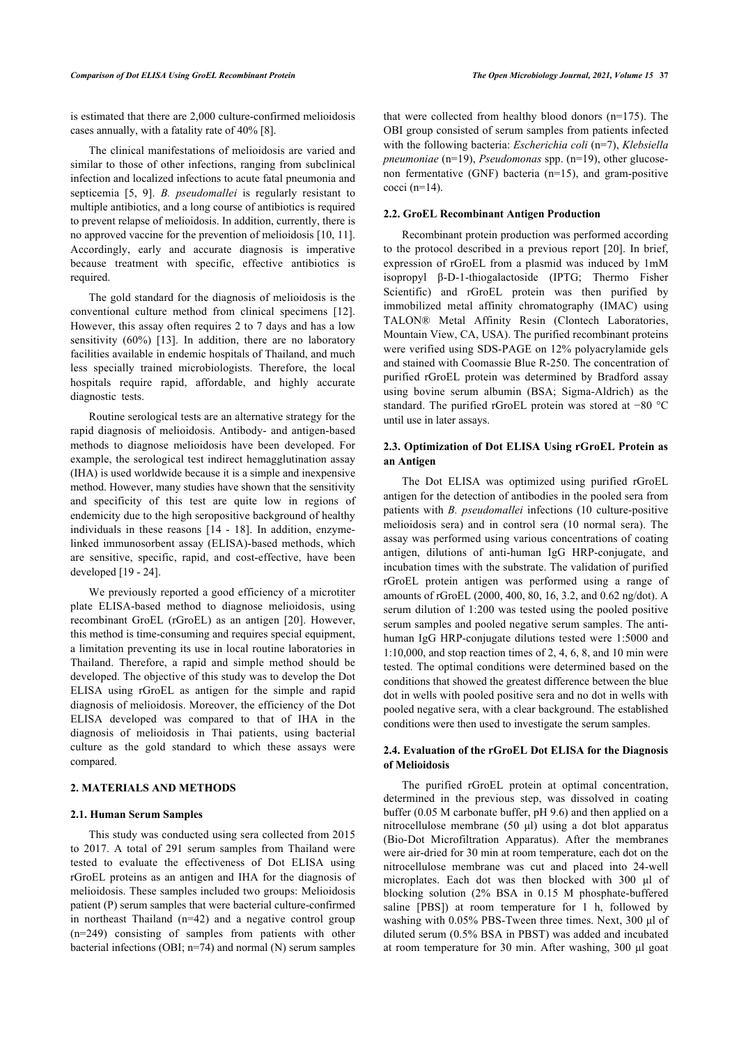is estimated that there are 2,000 culture-confirmed melioidosis cases annually, with a fatality rate of 40% [[8](#page-6-4)].

The clinical manifestations of melioidosis are varied and similar to those of other infections, ranging from subclinical infection and localized infections to acute fatal pneumonia and septicemia[[5](#page-6-1), [9\]](#page-6-5). *B. pseudomallei* is regularly resistant to multiple antibiotics, and a long course of antibiotics is required to prevent relapse of melioidosis. In addition, currently, there is no approved vaccine for the prevention of melioidosis [\[10](#page-6-6), [11](#page-6-7)]. Accordingly, early and accurate diagnosis is imperative because treatment with specific, effective antibiotics is required.

The gold standard for the diagnosis of melioidosis is the conventional culture method from clinical specimens[[12\]](#page-6-8). However, this assay often requires 2 to 7 days and has a low sensitivity (60%) [\[13](#page-6-9)]. In addition, there are no laboratory facilities available in endemic hospitals of Thailand, and much less specially trained microbiologists. Therefore, the local hospitals require rapid, affordable, and highly accurate diagnostic tests.

Routine serological tests are an alternative strategy for the rapid diagnosis of melioidosis. Antibody- and antigen-based methods to diagnose melioidosis have been developed. For example, the serological test indirect hemagglutination assay (IHA) is used worldwide because it is a simple and inexpensive method. However, many studies have shown that the sensitivity and specificity of this test are quite low in regions of endemicity due to the high seropositive background of healthy individuals in these reasons [\[14](#page-6-10) - [18](#page-6-11)]. In addition, enzymelinked immunosorbent assay (ELISA)-based methods, which are sensitive, specific, rapid, and cost-effective, have been developed [[19](#page-6-12) - [24](#page-6-13)].

We previously reported a good efficiency of a microtiter plate ELISA-based method to diagnose melioidosis, using recombinant GroEL (rGroEL) as an antigen[[20](#page-6-14)]. However, this method is time-consuming and requires special equipment, a limitation preventing its use in local routine laboratories in Thailand. Therefore, a rapid and simple method should be developed. The objective of this study was to develop the Dot ELISA using rGroEL as antigen for the simple and rapid diagnosis of melioidosis. Moreover, the efficiency of the Dot ELISA developed was compared to that of IHA in the diagnosis of melioidosis in Thai patients, using bacterial culture as the gold standard to which these assays were compared.

#### **2. MATERIALS AND METHODS**

#### **2.1. Human Serum Samples**

This study was conducted using sera collected from 2015 to 2017. A total of 291 serum samples from Thailand were tested to evaluate the effectiveness of Dot ELISA using rGroEL proteins as an antigen and IHA for the diagnosis of melioidosis. These samples included two groups: Melioidosis patient (P) serum samples that were bacterial culture-confirmed in northeast Thailand (n=42) and a negative control group (n=249) consisting of samples from patients with other bacterial infections (OBI; n=74) and normal (N) serum samples

that were collected from healthy blood donors (n=175). The OBI group consisted of serum samples from patients infected with the following bacteria: *Escherichia coli* (n=7), *Klebsiella pneumoniae* (n=19), *Pseudomonas* spp. (n=19), other glucosenon fermentative (GNF) bacteria (n=15), and gram-positive cocci (n=14).

#### **2.2. GroEL Recombinant Antigen Production**

Recombinant protein production was performed according to the protocol described in a previous report [[20\]](#page-6-14). In brief, expression of rGroEL from a plasmid was induced by 1mM isopropyl β-D-1-thiogalactoside (IPTG; Thermo Fisher Scientific) and rGroEL protein was then purified by immobilized metal affinity chromatography (IMAC) using TALON® Metal Affinity Resin (Clontech Laboratories, Mountain View, CA, USA). The purified recombinant proteins were verified using SDS-PAGE on 12% polyacrylamide gels and stained with Coomassie Blue R-250. The concentration of purified rGroEL protein was determined by Bradford assay using bovine serum albumin (BSA; Sigma-Aldrich) as the standard. The purified rGroEL protein was stored at −80 °C until use in later assays.

## **2.3. Optimization of Dot ELISA Using rGroEL Protein as an Antigen**

The Dot ELISA was optimized using purified rGroEL antigen for the detection of antibodies in the pooled sera from patients with *B. pseudomallei* infections (10 culture-positive melioidosis sera) and in control sera (10 normal sera). The assay was performed using various concentrations of coating antigen, dilutions of anti-human IgG HRP-conjugate, and incubation times with the substrate. The validation of purified rGroEL protein antigen was performed using a range of amounts of rGroEL (2000, 400, 80, 16, 3.2, and 0.62 ng/dot). A serum dilution of 1:200 was tested using the pooled positive serum samples and pooled negative serum samples. The antihuman IgG HRP-conjugate dilutions tested were 1:5000 and 1:10,000, and stop reaction times of 2, 4, 6, 8, and 10 min were tested. The optimal conditions were determined based on the conditions that showed the greatest difference between the blue dot in wells with pooled positive sera and no dot in wells with pooled negative sera, with a clear background. The established conditions were then used to investigate the serum samples.

#### **2.4. Evaluation of the rGroEL Dot ELISA for the Diagnosis of Melioidosis**

The purified rGroEL protein at optimal concentration, determined in the previous step, was dissolved in coating buffer (0.05 M carbonate buffer, pH 9.6) and then applied on a nitrocellulose membrane (50 μl) using a dot blot apparatus (Bio-Dot Microfiltration Apparatus). After the membranes were air-dried for 30 min at room temperature, each dot on the nitrocellulose membrane was cut and placed into 24-well microplates. Each dot was then blocked with 300 μl of blocking solution (2% BSA in 0.15 M phosphate-buffered saline [PBS]) at room temperature for 1 h, followed by washing with 0.05% PBS-Tween three times. Next, 300 μl of diluted serum (0.5% BSA in PBST) was added and incubated at room temperature for 30 min. After washing, 300 μl goat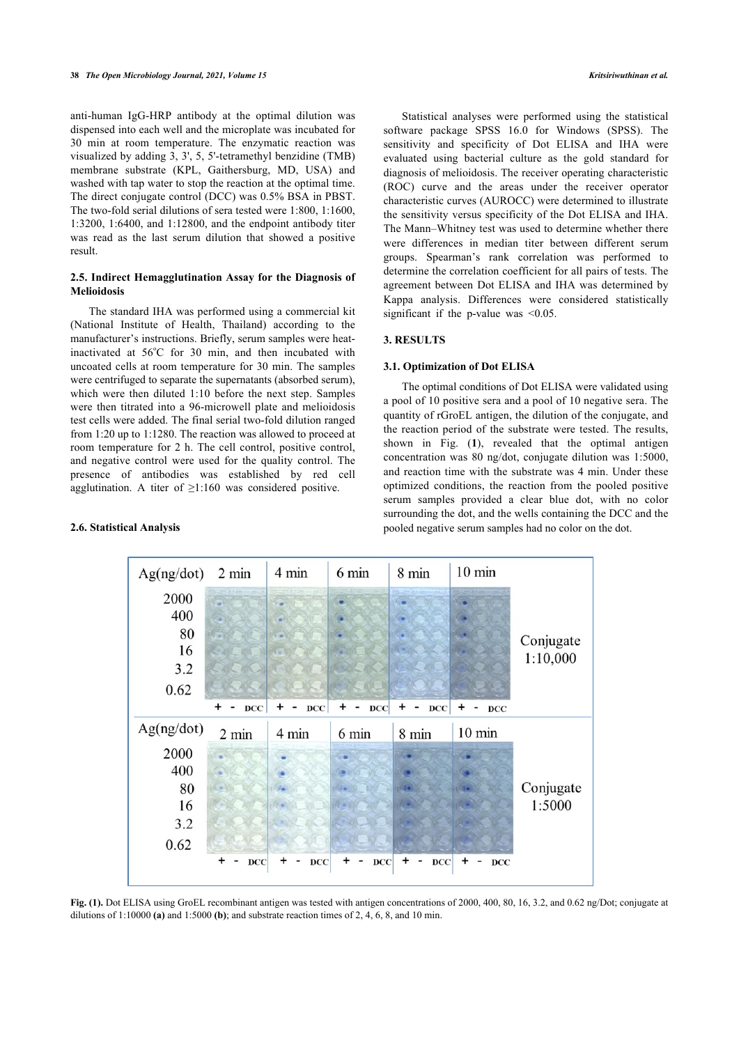anti-human IgG-HRP antibody at the optimal dilution was dispensed into each well and the microplate was incubated for 30 min at room temperature. The enzymatic reaction was visualized by adding 3, 3', 5, 5'-tetramethyl benzidine (TMB) membrane substrate (KPL, Gaithersburg, MD, USA) and washed with tap water to stop the reaction at the optimal time. The direct conjugate control (DCC) was 0.5% BSA in PBST. The two-fold serial dilutions of sera tested were 1:800, 1:1600, 1:3200, 1:6400, and 1:12800, and the endpoint antibody titer was read as the last serum dilution that showed a positive result.

#### **2.5. Indirect Hemagglutination Assay for the Diagnosis of Melioidosis**

The standard IHA was performed using a commercial kit (National Institute of Health, Thailand) according to the manufacturer's instructions. Briefly, serum samples were heatinactivated at 56°C for 30 min, and then incubated with uncoated cells at room temperature for 30 min. The samples were centrifuged to separate the supernatants (absorbed serum), which were then diluted 1:10 before the next step. Samples were then titrated into a 96-microwell plate and melioidosis test cells were added. The final serial two-fold dilution ranged from 1:20 up to 1:1280. The reaction was allowed to proceed at room temperature for 2 h. The cell control, positive control, and negative control were used for the quality control. The presence of antibodies was established by red cell agglutination. A titer of ≥1:160 was considered positive.

#### <span id="page-2-0"></span>**2.6. Statistical Analysis**

Statistical analyses were performed using the statistical software package SPSS 16.0 for Windows (SPSS). The sensitivity and specificity of Dot ELISA and IHA were evaluated using bacterial culture as the gold standard for diagnosis of melioidosis. The receiver operating characteristic (ROC) curve and the areas under the receiver operator characteristic curves (AUROCC) were determined to illustrate the sensitivity versus specificity of the Dot ELISA and IHA. The Mann–Whitney test was used to determine whether there were differences in median titer between different serum groups. Spearman's rank correlation was performed to determine the correlation coefficient for all pairs of tests. The agreement between Dot ELISA and IHA was determined by Kappa analysis. Differences were considered statistically significant if the p-value was  $\leq 0.05$ .

#### **3. RESULTS**

#### **3.1. Optimization of Dot ELISA**

The optimal conditions of Dot ELISA were validated using a pool of 10 positive sera and a pool of 10 negative sera. The quantity of rGroEL antigen, the dilution of the conjugate, and the reaction period of the substrate were tested. The results, shown in Fig. (**[1](#page-2-0)**), revealed that the optimal antigen concentration was 80 ng/dot, conjugate dilution was 1:5000, and reaction time with the substrate was 4 min. Under these optimized conditions, the reaction from the pooled positive serum samples provided a clear blue dot, with no color surrounding the dot, and the wells containing the DCC and the pooled negative serum samples had no color on the dot.



**Fig. (1).** Dot ELISA using GroEL recombinant antigen was tested with antigen concentrations of 2000, 400, 80, 16, 3.2, and 0.62 ng/Dot; conjugate at dilutions of 1:10000 **(a)** and 1:5000 **(b)**; and substrate reaction times of 2, 4, 6, 8, and 10 min.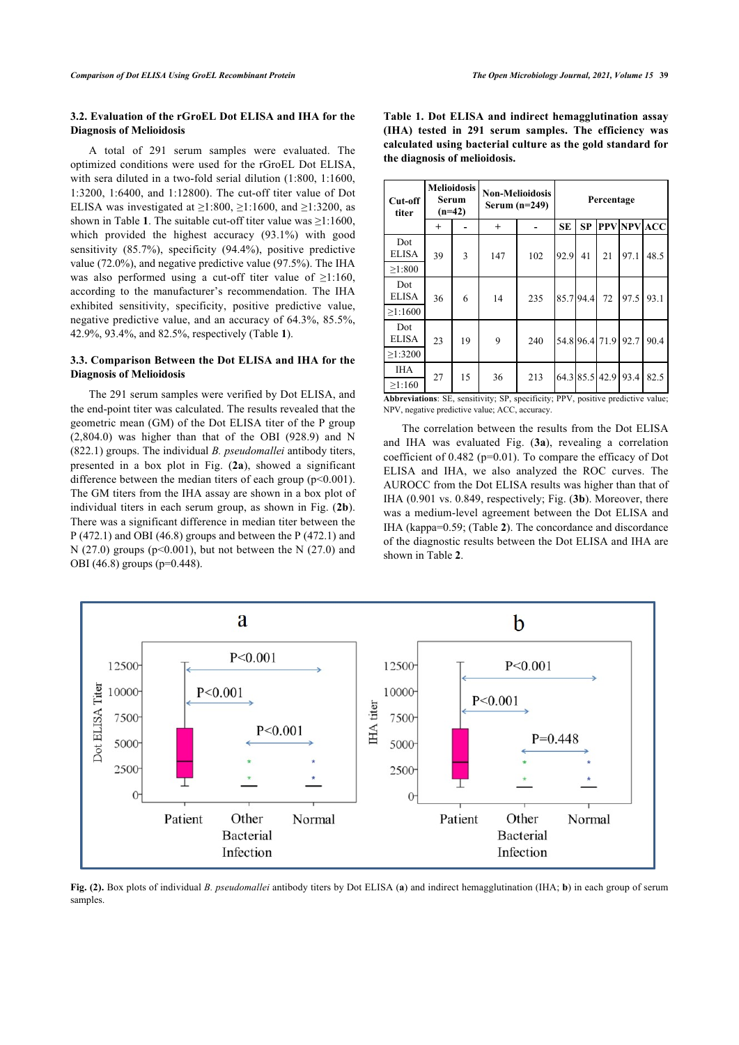#### **3.2. Evaluation of the rGroEL Dot ELISA and IHA for the Diagnosis of Melioidosis**

A total of 291 serum samples were evaluated. The optimized conditions were used for the rGroEL Dot ELISA, with sera diluted in a two-fold serial dilution (1:800, 1:1600, 1:3200, 1:6400, and 1:12800). The cut-off titer value of Dot ELISA was investigated at  $\geq$ 1:800,  $\geq$ 1:1600, and  $\geq$ 1:3200, as shown in Table **[1](#page-3-0)**. The suitable cut-off titer value was  $\geq 1:1600$ , which provided the highest accuracy (93.1%) with good sensitivity (85.7%), specificity (94.4%), positive predictive value (72.0%), and negative predictive value (97.5%). The IHA was also performed using a cut-off titer value of  $\geq 1:160$ , according to the manufacturer's recommendation. The IHA exhibited sensitivity, specificity, positive predictive value, negative predictive value, and an accuracy of 64.3%, 85.5%, 42.9%, 93.4%, and 82.5%, respectively (Table **[1](#page-3-0)**).

#### **3.3. Comparison Between the Dot ELISA and IHA for the Diagnosis of Melioidosis**

The 291 serum samples were verified by Dot ELISA, and the end-point titer was calculated. The results revealed that the geometric mean (GM) of the Dot ELISA titer of the P group (2,804.0) was higher than that of the OBI (928.9) and N (822.1) groups. The individual *B. pseudomallei* antibody titers, presented in a box plot in Fig. (**[2a](#page-3-1)**), showed a significant difference between the median titers of each group  $(p<0.001)$ . The GM titers from the IHA assay are shown in a box plot of individual titers in each serum group, as shown in Fig. (**[2b](#page-3-1)**). There was a significant difference in median titer between the P (472.1) and OBI (46.8) groups and between the P (472.1) and N (27.0) groups ( $p<0.001$ ), but not between the N (27.0) and OBI (46.8) groups (p=0.448).

| Table 1. Dot ELISA and indirect hemagglutination assay      |
|-------------------------------------------------------------|
| (IHA) tested in 291 serum samples. The efficiency was       |
| calculated using bacterial culture as the gold standard for |
| the diagnosis of melioidosis.                               |
|                                                             |

| Cut-off<br>titer                                                                                               | <b>Melioidosis</b><br>Serum<br>$(n=42)$ |    | <b>Non-Melioidosis</b><br>Serum $(n=249)$ | Percentage |           |           |                |      |             |
|----------------------------------------------------------------------------------------------------------------|-----------------------------------------|----|-------------------------------------------|------------|-----------|-----------|----------------|------|-------------|
|                                                                                                                | $^{+}$                                  |    | $^{+}$                                    |            | <b>SE</b> | <b>SP</b> |                |      | PPV NPV ACC |
| Dot<br><b>ELISA</b><br>>1:800                                                                                  | 39                                      | 3  | 147                                       | 102        | 92.9      | 41        | 21             | 97.1 | 48.5        |
| Dot<br><b>ELISA</b><br>$\ge$ 1:1600                                                                            | 36                                      | 6  | 14                                        | 235        | 85.794.4  |           | 72             | 97.5 | 93.1        |
| Dot<br><b>ELISA</b><br>$\geq$ 1:3200                                                                           | 23                                      | 19 | 9                                         | 240        |           |           | 54.8 96.4 71.9 | 92.7 | 90.4        |
| <b>IHA</b><br>$\geq 1:160$<br>Although Money OF According to OB Accord Columb BBV accident and lighter colorer | 27                                      | 15 | 36                                        | 213        |           |           | 64.3 85.5 42.9 | 93.4 | 82.5        |

**Abbreviations**: SE, sensitivity; SP, specificity; PPV, positive predictive value; NPV, negative predictive value; ACC, accuracy.

The correlation between the results from the Dot ELISA and IHA was evaluated Fig. (**[3a](#page-3-2)**), revealing a correlation coefficient of 0.482 (p=0.01). To compare the efficacy of Dot ELISA and IHA, we also analyzed the ROC curves. The AUROCC from the Dot ELISA results was higher than that of IHA (0.901 vs. 0.849, respectively; Fig. (**[3b](#page-3-2)**). Moreover, there was a medium-level agreement between the Dot ELISA and IHA (kappa=0.59; (Table **[2](#page-4-0)**). The concordance and discordance of the diagnostic results between the Dot ELISA and IHA are shown in Table **[2](#page-4-0)**.

<span id="page-3-1"></span><span id="page-3-0"></span>

<span id="page-3-2"></span>**Fig. (2).** Box plots of individual *B. pseudomallei* antibody titers by Dot ELISA (**a**) and indirect hemagglutination (IHA; **b**) in each group of serum samples.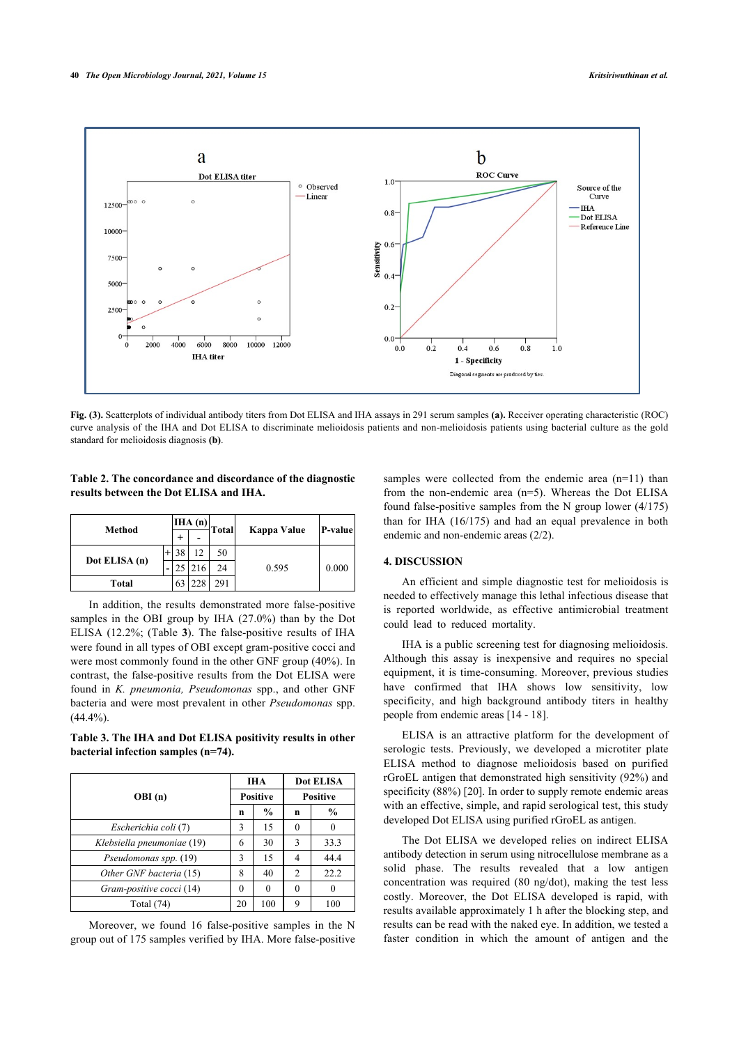

**Fig. (3).** Scatterplots of individual antibody titers from Dot ELISA and IHA assays in 291 serum samples **(a).** Receiver operating characteristic (ROC) curve analysis of the IHA and Dot ELISA to discriminate melioidosis patients and non-melioidosis patients using bacterial culture as the gold standard for melioidosis diagnosis **(b)**.

#### <span id="page-4-0"></span>**Table 2. The concordance and discordance of the diagnostic results between the Dot ELISA and IHA.**

| Method        |  | IHA(n) |                | <b>Total</b> | Kappa Value | P-value |  |
|---------------|--|--------|----------------|--------------|-------------|---------|--|
|               |  |        | -              |              |             |         |  |
| Dot ELISA (n) |  |        | 12             | 50           |             | 0.000   |  |
|               |  |        | <sup>216</sup> | 24           | 0.595       |         |  |
| Total         |  | 63     | 228            | 291          |             |         |  |

In addition, the results demonstrated more false-positive samples in the OBI group by IHA (27.0%) than by the Dot ELISA (12.2%; (Table **[3](#page-4-1)**). The false-positive results of IHA were found in all types of OBI except gram-positive cocci and were most commonly found in the other GNF group (40%). In contrast, the false-positive results from the Dot ELISA were found in *K. pneumonia, Pseudomonas* spp., and other GNF bacteria and were most prevalent in other *Pseudomonas* spp.  $(44.4\%)$ .

<span id="page-4-1"></span>**Table 3. The IHA and Dot ELISA positivity results in other bacterial infection samples (n=74).**

|                            |                 | <b>IHA</b> | <b>Dot ELISA</b> |               |  |
|----------------------------|-----------------|------------|------------------|---------------|--|
| OBI(n)                     | <b>Positive</b> |            | <b>Positive</b>  |               |  |
|                            | n               | $\%$       | n                | $\frac{6}{9}$ |  |
| Escherichia coli (7)       | 3               | 15         |                  |               |  |
| Klebsiella pneumoniae (19) | 6               | 30         | 3                | 33.3          |  |
| Pseudomonas spp. (19)      | 3               | 15         | 4                | 44.4          |  |
| Other GNF bacteria (15)    | 8               | 40         | 2                | 22.2          |  |
| Gram-positive cocci (14)   |                 | 0          |                  |               |  |
| Total $(74)$               | 20              | 100        | Q                | 100           |  |

Moreover, we found 16 false-positive samples in the N group out of 175 samples verified by IHA. More false-positive

samples were collected from the endemic area (n=11) than from the non-endemic area (n=5). Whereas the Dot ELISA found false-positive samples from the N group lower (4/175) than for IHA (16/175) and had an equal prevalence in both endemic and non-endemic areas (2/2).

#### **4. DISCUSSION**

An efficient and simple diagnostic test for melioidosis is needed to effectively manage this lethal infectious disease that is reported worldwide, as effective antimicrobial treatment could lead to reduced mortality.

IHA is a public screening test for diagnosing melioidosis. Although this assay is inexpensive and requires no special equipment, it is time-consuming. Moreover, previous studies have confirmed that IHA shows low sensitivity, low specificity, and high background antibody titers in healthy people from endemic areas [\[14](#page-6-10) - [18\]](#page-6-11).

ELISA is an attractive platform for the development of serologic tests. Previously, we developed a microtiter plate ELISA method to diagnose melioidosis based on purified rGroEL antigen that demonstrated high sensitivity (92%) and specificity (88%) [[20\]](#page-6-14). In order to supply remote endemic areas with an effective, simple, and rapid serological test, this study developed Dot ELISA using purified rGroEL as antigen.

The Dot ELISA we developed relies on indirect ELISA antibody detection in serum using nitrocellulose membrane as a solid phase. The results revealed that a low antigen concentration was required (80 ng/dot), making the test less costly. Moreover, the Dot ELISA developed is rapid, with results available approximately 1 h after the blocking step, and results can be read with the naked eye. In addition, we tested a faster condition in which the amount of antigen and the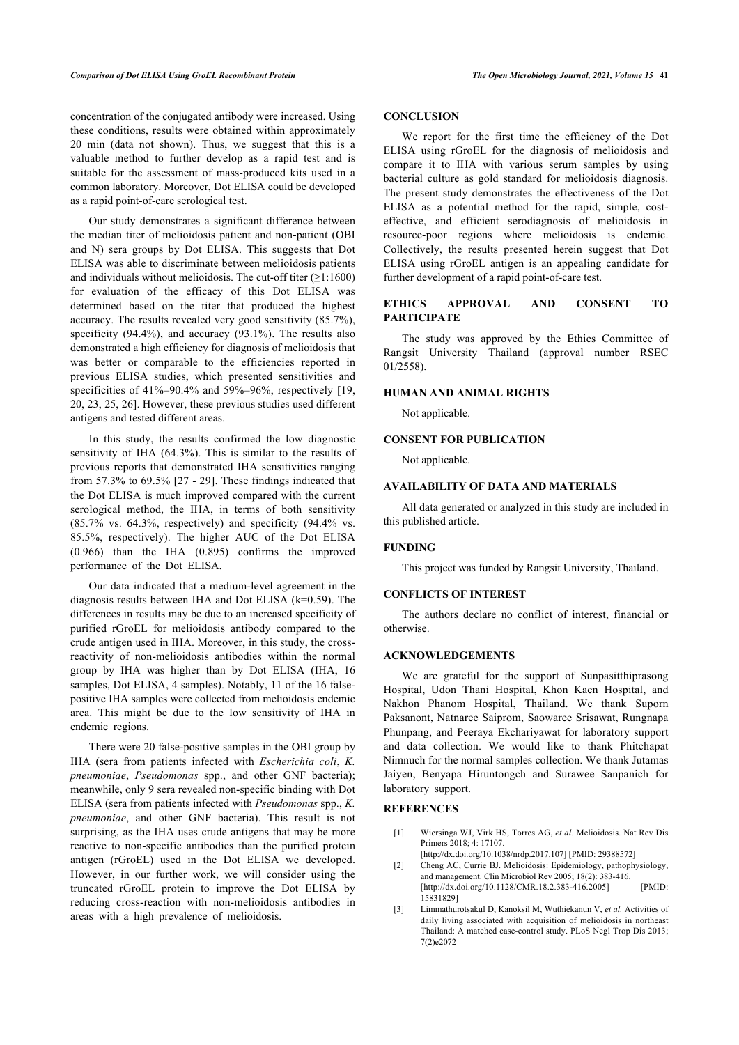concentration of the conjugated antibody were increased. Using these conditions, results were obtained within approximately 20 min (data not shown). Thus, we suggest that this is a valuable method to further develop as a rapid test and is suitable for the assessment of mass-produced kits used in a common laboratory. Moreover, Dot ELISA could be developed as a rapid point-of-care serological test.

Our study demonstrates a significant difference between the median titer of melioidosis patient and non-patient (OBI and N) sera groups by Dot ELISA. This suggests that Dot ELISA was able to discriminate between melioidosis patients and individuals without melioidosis. The cut-off titer  $(≥1:1600)$ for evaluation of the efficacy of this Dot ELISA was determined based on the titer that produced the highest accuracy. The results revealed very good sensitivity (85.7%), specificity  $(94.4\%)$ , and accuracy  $(93.1\%)$ . The results also demonstrated a high efficiency for diagnosis of melioidosis that was better or comparable to the efficiencies reported in previous ELISA studies, which presented sensitivities and specificities of  $41\% - 90.4\%$  and  $59\% - 96\%$ , respectively [[19](#page-6-12), [20,](#page-6-14) [23,](#page-6-1) [25](#page-6-15), [26](#page-6-5)]. However, these previous studies used different antigens and tested different areas.

In this study, the results confirmed the low diagnostic sensitivity of IHA (64.3%). This is similar to the results of previous reports that demonstrated IHA sensitivities ranging from 57.3% to 69.5% [\[27](#page-6-6) - [29](#page-6-8)]. These findings indicated that the Dot ELISA is much improved compared with the current serological method, the IHA, in terms of both sensitivity  $(85.7\% \text{ vs. } 64.3\%, \text{ respectively})$  and specificity  $(94.4\% \text{ vs. } 64.3\% \text{)})$ 85.5%, respectively). The higher AUC of the Dot ELISA (0.966) than the IHA (0.895) confirms the improved performance of the Dot ELISA.

Our data indicated that a medium-level agreement in the diagnosis results between IHA and Dot ELISA (k=0.59). The differences in results may be due to an increased specificity of purified rGroEL for melioidosis antibody compared to the crude antigen used in IHA. Moreover, in this study, the crossreactivity of non-melioidosis antibodies within the normal group by IHA was higher than by Dot ELISA (IHA, 16 samples, Dot ELISA, 4 samples). Notably, 11 of the 16 falsepositive IHA samples were collected from melioidosis endemic area. This might be due to the low sensitivity of IHA in endemic regions.

<span id="page-5-1"></span><span id="page-5-0"></span>There were 20 false-positive samples in the OBI group by IHA (sera from patients infected with *Escherichia coli*, *K. pneumoniae*, *Pseudomonas* spp., and other GNF bacteria); meanwhile, only 9 sera revealed non-specific binding with Dot ELISA (sera from patients infected with *Pseudomonas* spp., *K. pneumoniae*, and other GNF bacteria). This result is not surprising, as the IHA uses crude antigens that may be more reactive to non-specific antibodies than the purified protein antigen (rGroEL) used in the Dot ELISA we developed. However, in our further work, we will consider using the truncated rGroEL protein to improve the Dot ELISA by reducing cross-reaction with non-melioidosis antibodies in areas with a high prevalence of melioidosis.

#### **CONCLUSION**

We report for the first time the efficiency of the Dot ELISA using rGroEL for the diagnosis of melioidosis and compare it to IHA with various serum samples by using bacterial culture as gold standard for melioidosis diagnosis. The present study demonstrates the effectiveness of the Dot ELISA as a potential method for the rapid, simple, costeffective, and efficient serodiagnosis of melioidosis in resource-poor regions where melioidosis is endemic. Collectively, the results presented herein suggest that Dot ELISA using rGroEL antigen is an appealing candidate for further development of a rapid point-of-care test.

#### **ETHICS APPROVAL AND CONSENT TO PARTICIPATE**

The study was approved by the Ethics Committee of Rangsit University Thailand (approval number RSEC 01/2558).

#### **HUMAN AND ANIMAL RIGHTS**

Not applicable.

### **CONSENT FOR PUBLICATION**

Not applicable.

#### **AVAILABILITY OF DATA AND MATERIALS**

All data generated or analyzed in this study are included in this published article.

#### **FUNDING**

This project was funded by Rangsit University, Thailand.

#### **CONFLICTS OF INTEREST**

The authors declare no conflict of interest, financial or otherwise.

#### **ACKNOWLEDGEMENTS**

We are grateful for the support of Sunpasitthiprasong Hospital, Udon Thani Hospital, Khon Kaen Hospital, and Nakhon Phanom Hospital, Thailand. We thank Suporn Paksanont, Natnaree Saiprom, Saowaree Srisawat, Rungnapa Phunpang, and Peeraya Ekchariyawat for laboratory support and data collection. We would like to thank Phitchapat Nimnuch for the normal samples collection. We thank Jutamas Jaiyen, Benyapa Hiruntongch and Surawee Sanpanich for laboratory support.

#### **REFERENCES**

- [1] Wiersinga WJ, Virk HS, Torres AG, *et al.* Melioidosis. Nat Rev Dis Primers 2018; 4: 17107. [\[http://dx.doi.org/10.1038/nrdp.2017.107](http://dx.doi.org/10.1038/nrdp.2017.107)] [PMID: [29388572\]](http://www.ncbi.nlm.nih.gov/pubmed/29388572)
- [2] Cheng AC, Currie BJ. Melioidosis: Epidemiology, pathophysiology,
	- and management. Clin Microbiol Rev 2005; 18(2): 383-416. [\[http://dx.doi.org/10.1128/CMR.18.2.383-416.2005\]](http://dx.doi.org/10.1128/CMR.18.2.383-416.2005) [PMID: [15831829\]](http://www.ncbi.nlm.nih.gov/pubmed/15831829)
- [3] Limmathurotsakul D, Kanoksil M, Wuthiekanun V, *et al.* Activities of daily living associated with acquisition of melioidosis in northeast Thailand: A matched case-control study. PLoS Negl Trop Dis 2013; 7(2)e2072